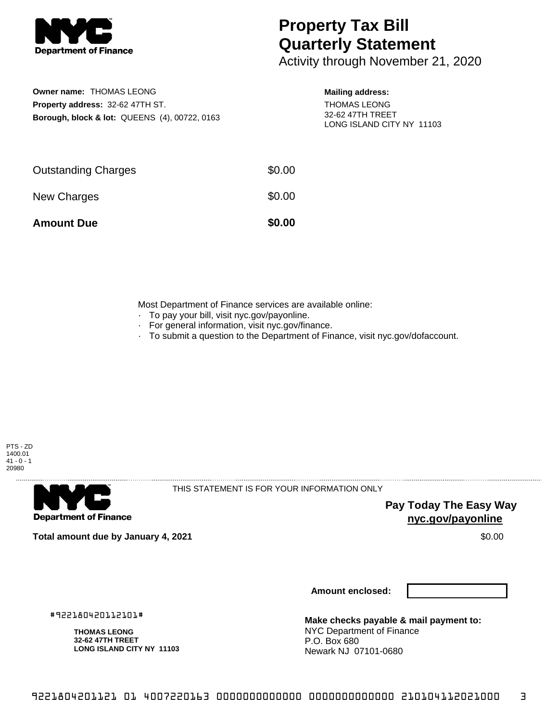

# **Property Tax Bill Quarterly Statement**

Activity through November 21, 2020

## **Owner name:** THOMAS LEONG **Property address:** 32-62 47TH ST. **Borough, block & lot:** QUEENS (4), 00722, 0163

#### **Mailing address:**

THOMAS LEONG 32-62 47TH TREET LONG ISLAND CITY NY 11103

| <b>Amount Due</b>          | \$0.00 |
|----------------------------|--------|
| New Charges                | \$0.00 |
| <b>Outstanding Charges</b> | \$0.00 |

Most Department of Finance services are available online:

- · To pay your bill, visit nyc.gov/payonline.
- For general information, visit nyc.gov/finance.
- · To submit a question to the Department of Finance, visit nyc.gov/dofaccount.





THIS STATEMENT IS FOR YOUR INFORMATION ONLY

**Pay Today The Easy Way nyc.gov/payonline**

**Total amount due by January 4, 2021** \$0.00

#922180420112101#

**THOMAS LEONG 32-62 47TH TREET**

**LONG ISLAND CITY NY 11103**

**Amount enclosed:**

**Make checks payable & mail payment to:**

NYC Department of Finance P.O. Box 680 Newark NJ 07101-0680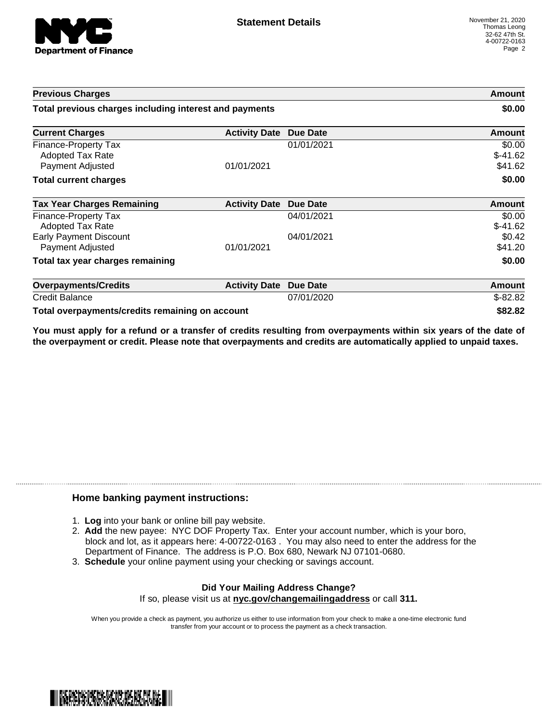

| <b>Previous Charges</b>                                      |                               | Amount<br>\$0.00 |                                |
|--------------------------------------------------------------|-------------------------------|------------------|--------------------------------|
| Total previous charges including interest and payments       |                               |                  |                                |
| <b>Current Charges</b>                                       | <b>Activity Date Due Date</b> |                  | Amount                         |
| Finance-Property Tax<br>Adopted Tax Rate<br>Payment Adjusted | 01/01/2021                    | 01/01/2021       | \$0.00<br>$$-41.62$<br>\$41.62 |
| <b>Total current charges</b>                                 |                               |                  | \$0.00                         |
| <b>Tax Year Charges Remaining</b>                            | <b>Activity Date</b>          | Due Date         | <b>Amount</b>                  |
| <b>Finance-Property Tax</b><br>Adopted Tax Rate              |                               | 04/01/2021       | \$0.00<br>$$-41.62$            |
| <b>Early Payment Discount</b><br>Payment Adjusted            | 01/01/2021                    | 04/01/2021       | \$0.42<br>\$41.20              |
| Total tax year charges remaining                             |                               |                  | \$0.00                         |
| <b>Overpayments/Credits</b>                                  | <b>Activity Date</b>          | <b>Due Date</b>  | Amount                         |
| <b>Credit Balance</b>                                        |                               | 07/01/2020       | $$-82.82$                      |
| Total overpayments/credits remaining on account              |                               |                  | \$82.82                        |

You must apply for a refund or a transfer of credits resulting from overpayments within six years of the date of **the overpayment or credit. Please note that overpayments and credits are automatically applied to unpaid taxes.**

### **Home banking payment instructions:**

- 1. **Log** into your bank or online bill pay website.
- 2. **Add** the new payee: NYC DOF Property Tax. Enter your account number, which is your boro, block and lot, as it appears here: 4-00722-0163 . You may also need to enter the address for the Department of Finance. The address is P.O. Box 680, Newark NJ 07101-0680.
- 3. **Schedule** your online payment using your checking or savings account.

#### **Did Your Mailing Address Change?** If so, please visit us at **nyc.gov/changemailingaddress** or call **311.**

When you provide a check as payment, you authorize us either to use information from your check to make a one-time electronic fund transfer from your account or to process the payment as a check transaction.